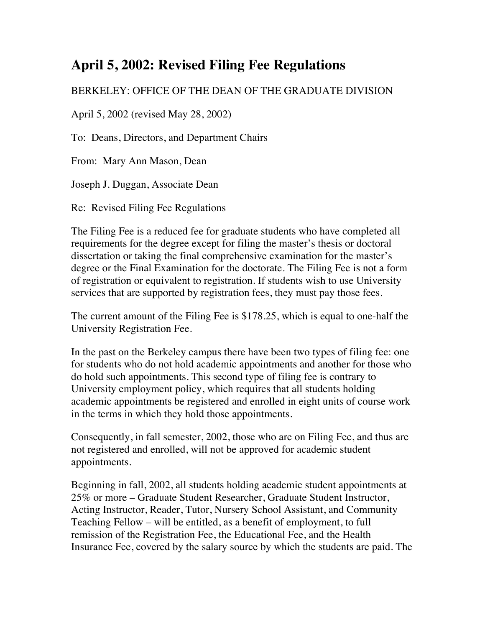## **April 5, 2002: Revised Filing Fee Regulations**

## BERKELEY: OFFICE OF THE DEAN OF THE GRADUATE DIVISION

April 5, 2002 (revised May 28, 2002)

To: Deans, Directors, and Department Chairs

From: Mary Ann Mason, Dean

Joseph J. Duggan, Associate Dean

Re: Revised Filing Fee Regulations

The Filing Fee is a reduced fee for graduate students who have completed all requirements for the degree except for filing the master's thesis or doctoral dissertation or taking the final comprehensive examination for the master's degree or the Final Examination for the doctorate. The Filing Fee is not a form of registration or equivalent to registration. If students wish to use University services that are supported by registration fees, they must pay those fees.

The current amount of the Filing Fee is \$178.25, which is equal to one-half the University Registration Fee.

In the past on the Berkeley campus there have been two types of filing fee: one for students who do not hold academic appointments and another for those who do hold such appointments. This second type of filing fee is contrary to University employment policy, which requires that all students holding academic appointments be registered and enrolled in eight units of course work in the terms in which they hold those appointments.

Consequently, in fall semester, 2002, those who are on Filing Fee, and thus are not registered and enrolled, will not be approved for academic student appointments.

Beginning in fall, 2002, all students holding academic student appointments at 25% or more – Graduate Student Researcher, Graduate Student Instructor, Acting Instructor, Reader, Tutor, Nursery School Assistant, and Community Teaching Fellow – will be entitled, as a benefit of employment, to full remission of the Registration Fee, the Educational Fee, and the Health Insurance Fee, covered by the salary source by which the students are paid. The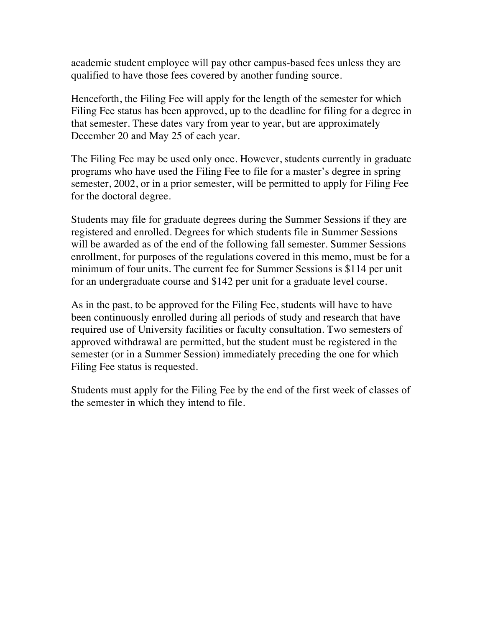academic student employee will pay other campus-based fees unless they are qualified to have those fees covered by another funding source.

Henceforth, the Filing Fee will apply for the length of the semester for which Filing Fee status has been approved, up to the deadline for filing for a degree in that semester. These dates vary from year to year, but are approximately December 20 and May 25 of each year.

The Filing Fee may be used only once. However, students currently in graduate programs who have used the Filing Fee to file for a master's degree in spring semester, 2002, or in a prior semester, will be permitted to apply for Filing Fee for the doctoral degree.

Students may file for graduate degrees during the Summer Sessions if they are registered and enrolled. Degrees for which students file in Summer Sessions will be awarded as of the end of the following fall semester. Summer Sessions enrollment, for purposes of the regulations covered in this memo, must be for a minimum of four units. The current fee for Summer Sessions is \$114 per unit for an undergraduate course and \$142 per unit for a graduate level course.

As in the past, to be approved for the Filing Fee, students will have to have been continuously enrolled during all periods of study and research that have required use of University facilities or faculty consultation. Two semesters of approved withdrawal are permitted, but the student must be registered in the semester (or in a Summer Session) immediately preceding the one for which Filing Fee status is requested.

Students must apply for the Filing Fee by the end of the first week of classes of the semester in which they intend to file.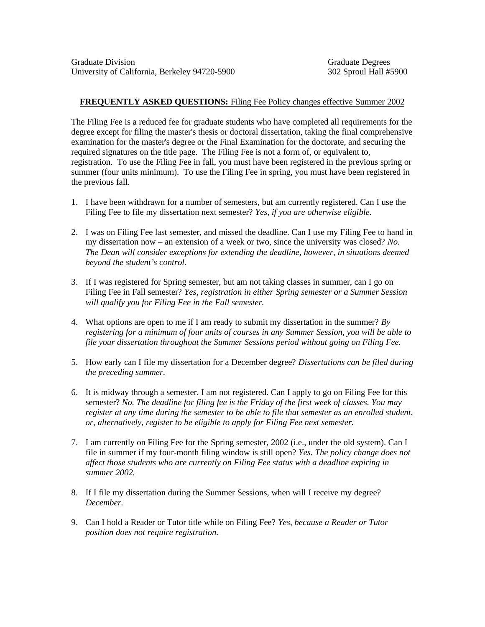## **FREQUENTLY ASKED QUESTIONS:** Filing Fee Policy changes effective Summer 2002

The Filing Fee is a reduced fee for graduate students who have completed all requirements for the degree except for filing the master's thesis or doctoral dissertation, taking the final comprehensive examination for the master's degree or the Final Examination for the doctorate, and securing the required signatures on the title page. The Filing Fee is not a form of, or equivalent to, registration. To use the Filing Fee in fall, you must have been registered in the previous spring or summer (four units minimum). To use the Filing Fee in spring, you must have been registered in the previous fall.

- 1. I have been withdrawn for a number of semesters, but am currently registered. Can I use the Filing Fee to file my dissertation next semester? *Yes, if you are otherwise eligible.*
- 2. I was on Filing Fee last semester, and missed the deadline. Can I use my Filing Fee to hand in my dissertation now – an extension of a week or two, since the university was closed? *No. The Dean will consider exceptions for extending the deadline, however, in situations deemed beyond the student's control.*
- 3. If I was registered for Spring semester, but am not taking classes in summer, can I go on Filing Fee in Fall semester? *Yes, registration in either Spring semester or a Summer Session will qualify you for Filing Fee in the Fall semester.*
- 4. What options are open to me if I am ready to submit my dissertation in the summer? *By registering for a minimum of four units of courses in any Summer Session, you will be able to file your dissertation throughout the Summer Sessions period without going on Filing Fee.*
- 5. How early can I file my dissertation for a December degree? *Dissertations can be filed during the preceding summer.*
- 6. It is midway through a semester. I am not registered. Can I apply to go on Filing Fee for this semester? *No. The deadline for filing fee is the Friday of the first week of classes. You may register at any time during the semester to be able to file that semester as an enrolled student, or, alternatively, register to be eligible to apply for Filing Fee next semester.*
- 7. I am currently on Filing Fee for the Spring semester, 2002 (i.e., under the old system). Can I file in summer if my four-month filing window is still open? *Yes. The policy change does not affect those students who are currently on Filing Fee status with a deadline expiring in summer 2002.*
- 8. If I file my dissertation during the Summer Sessions, when will I receive my degree? *December.*
- 9. Can I hold a Reader or Tutor title while on Filing Fee? *Yes, because a Reader or Tutor position does not require registration.*